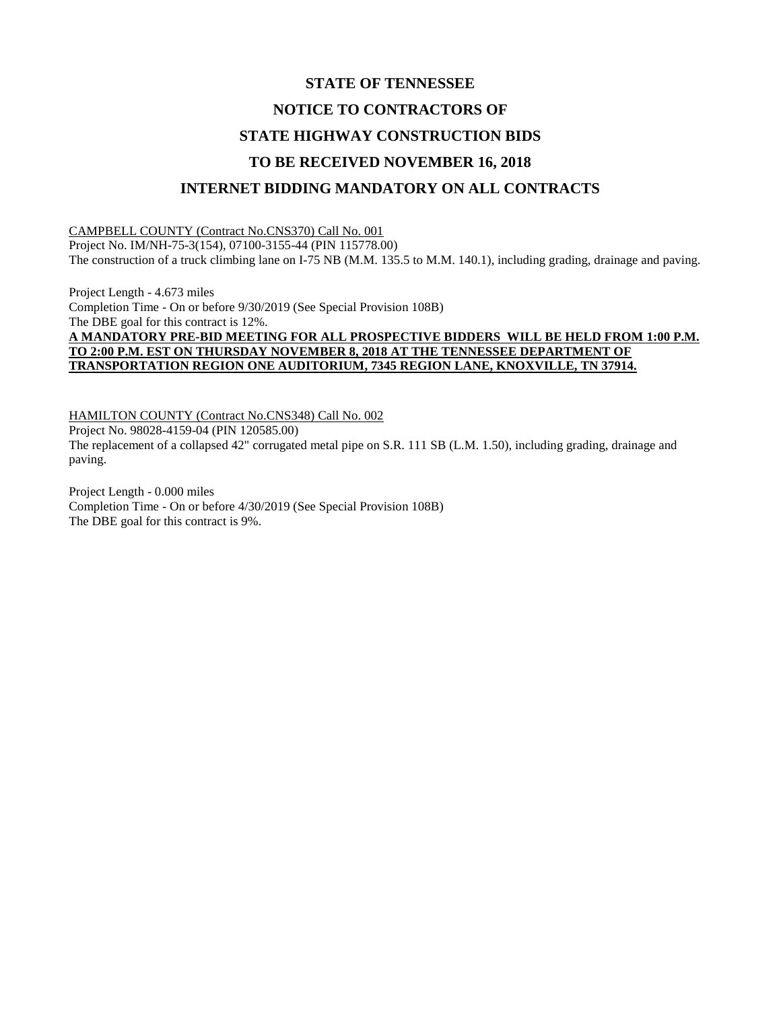## **STATE OF TENNESSEE NOTICE TO CONTRACTORS OF STATE HIGHWAY CONSTRUCTION BIDS TO BE RECEIVED NOVEMBER 16, 2018 INTERNET BIDDING MANDATORY ON ALL CONTRACTS**

CAMPBELL COUNTY (Contract No.CNS370) Call No. 001 Project No. IM/NH-75-3(154), 07100-3155-44 (PIN 115778.00) The construction of a truck climbing lane on I-75 NB (M.M. 135.5 to M.M. 140.1), including grading, drainage and paving.

Project Length - 4.673 miles Completion Time - On or before 9/30/2019 (See Special Provision 108B) The DBE goal for this contract is 12%. **A MANDATORY PRE-BID MEETING FOR ALL PROSPECTIVE BIDDERS WILL BE HELD FROM 1:00 P.M. TO 2:00 P.M. EST ON THURSDAY NOVEMBER 8, 2018 AT THE TENNESSEE DEPARTMENT OF TRANSPORTATION REGION ONE AUDITORIUM, 7345 REGION LANE, KNOXVILLE, TN 37914.**

HAMILTON COUNTY (Contract No.CNS348) Call No. 002 Project No. 98028-4159-04 (PIN 120585.00) The replacement of a collapsed 42" corrugated metal pipe on S.R. 111 SB (L.M. 1.50), including grading, drainage and paving.

Project Length - 0.000 miles Completion Time - On or before 4/30/2019 (See Special Provision 108B) The DBE goal for this contract is 9%.